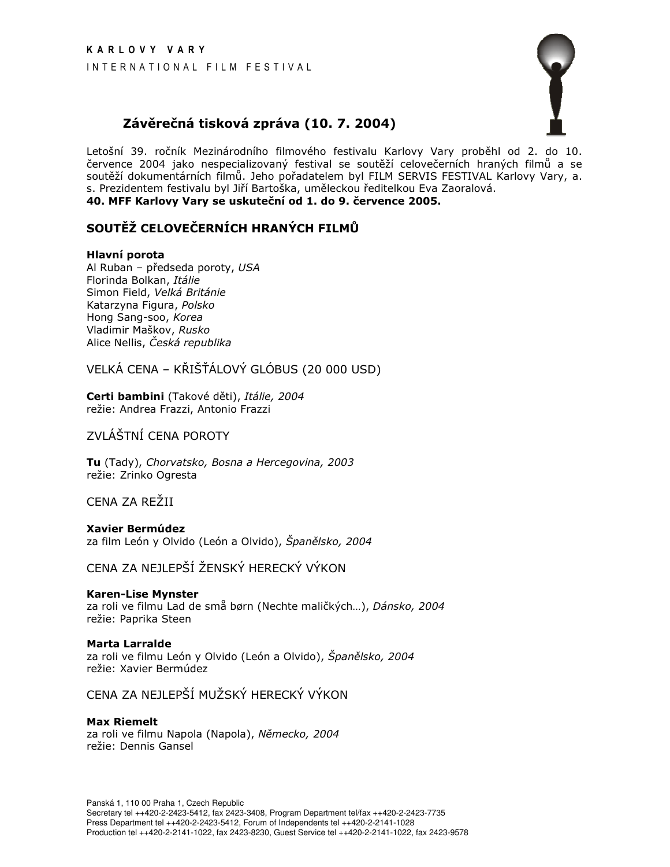

# Závěrečná tisková zpráva (10. 7. 2004)

Letošní 39. ročník Mezinárodního filmového festivalu Karlovy Vary proběhl od 2. do 10. července 2004 jako nespecializovaný festival se soutěží celovečerních hraných filmů a se soutěží dokumentárních filmů. Jeho pořadatelem byl FILM SERVIS FESTIVAL Karlovy Vary, a. s. Prezidentem festivalu byl Jiří Bartoška, uměleckou ředitelkou Eva Zaoralová. 40. MFF Karlovy Vary se uskuteční od 1. do 9. července 2005.

# SOUTĚŽ CELOVEČERNÍCH HRANÝCH FILMŮ

## Hlavní porota

Al Ruban - předseda poroty, USA Florinda Bolkan, Itálie Simon Field, Velká Británie Katarzyna Figura, Polsko Hong Sang-soo, Korea Vladimir Maškov, Rusko Alice Nellis, Česká republika

VELKÁ CENA – KŘIŠŤÁLOVÝ GLÓBUS (20 000 USD)

Certi bambini (Takové děti), Itálie, 2004 režie: Andrea Frazzi, Antonio Frazzi

ZVLÁŠTNÍ CENA POROTY

Tu (Tady), Chorvatsko, Bosna a Hercegovina, 2003 režie: Zrinko Ogresta

CENA ZA REŽII

**Xavier Bermúdez** za film León y Olvido (León a Olvido), Španělsko, 2004

CENA ZA NEJLEPŠÍ ŽENSKÝ HERECKÝ VÝKON

## **Karen-Lise Mynster**

za roli ve filmu Lad de små børn (Nechte maličkých...), Dánsko, 2004 režie: Paprika Steen

## **Marta Larralde**

za roli ve filmu León y Olvido (León a Olvido), Španělsko, 2004 režie: Xavier Bermúdez

CENA ZA NEJLEPŠÍ MUŽSKÝ HERECKÝ VÝKON

**Max Riemelt** za roli ve filmu Napola (Napola), Německo, 2004 režie: Dennis Gansel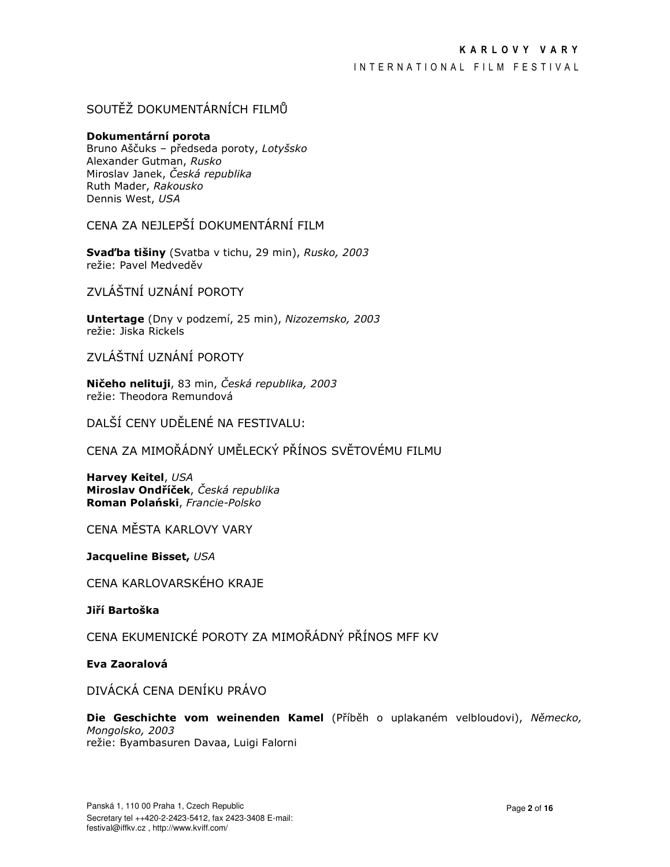INTERNATIONAL FILM FESTIVAL

# SOUTĚŽ DOKUMENTÁRNÍCH FILMŮ

## Dokumentární porota

Bruno Aščuks - předseda poroty, Lotyšsko Alexander Gutman, Rusko Miroslav Janek, Česká republika Ruth Mader, Rakousko Dennis West, USA

CENA ZA NEJLEPŠÍ DOKUMENTÁRNÍ FILM

Svad'ba tišiny (Svatba v tichu, 29 min), Rusko, 2003 režie: Pavel Medveděv

ZVI ÁŠTNÍ UZNÁNÍ POROTY

Untertage (Dny v podzemí, 25 min), Nizozemsko, 2003 režie: Jiska Rickels

ZVLÁŠTNÍ UZNÁNÍ POROTY

Ničeho nelituji, 83 min, Česká republika, 2003 režie: Theodora Remundová

DALŠÍ CENY UDĚLENÉ NA FESTIVALU:

CENA ZA MIMOŘÁDNÝ UMĚLECKÝ PŘÍNOS SVĚTOVÉMU FILMU

**Harvey Keitel, USA** Miroslav Ondříček, Česká republika Roman Polański, Francie-Polsko

CENA MĚSTA KARLOVY VARY

Jacqueline Bisset, USA

CENA KARLOVARSKÉHO KRAJE

Jiří Bartoška

CENA EKUMENICKÉ POROTY ZA MIMOŘÁDNÝ PŘÍNOS MFF KV

Eva Zaoralová

DIVÁCKÁ CENA DENÍKU PRÁVO

Die Geschichte vom weinenden Kamel (Příběh o uplakaném velbloudovi), Německo, Mongolsko, 2003 režie: Byambasuren Davaa, Luigi Falorni

Panská 1, 110 00 Praha 1, Czech Republic Secretary tel ++420-2-2423-5412, fax 2423-3408 E-mail: festival@iffkv.cz, http://www.kviff.com/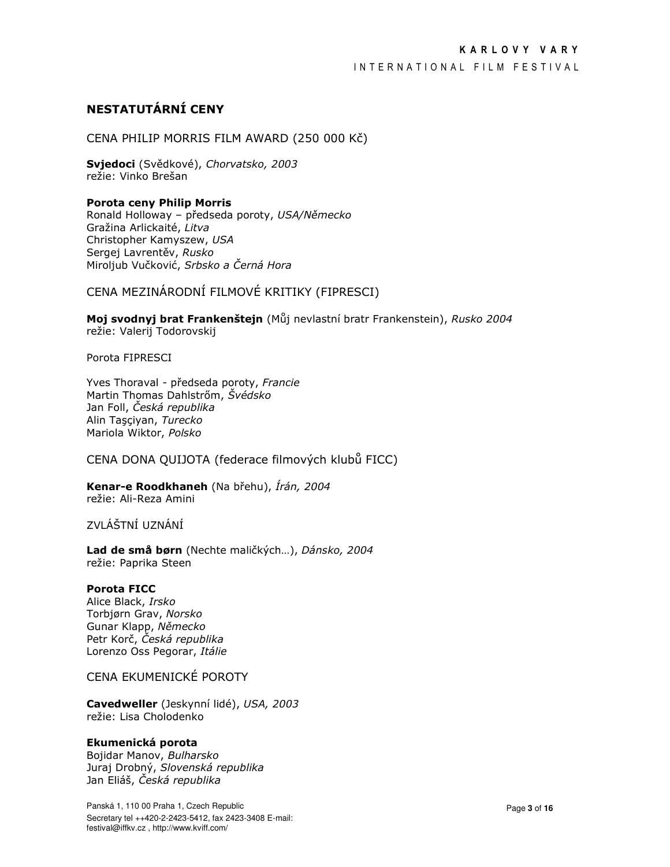## INTERNATIONAL FILM FESTIVAL

# NESTATUTÁRNÍ CENY

CENA PHILIP MORRIS FILM AWARD (250 000 Kč)

Svjedoci (Svědkové), Chorvatsko, 2003 režie: Vinko Brešan

## **Porota ceny Philip Morris**

Ronald Holloway - předseda poroty, USA/Německo Gražina Arlickaité, Litva Christopher Kamyszew, USA Sergej Lavrentěv, Rusko Miroljub Vučković, Srbsko a Černá Hora

CENA MEZINÁRODNÍ FILMOVÉ KRITIKY (FIPRESCI)

Moj svodnyj brat Frankenštejn (Můj nevlastní bratr Frankenstein), Rusko 2004 režie: Valerij Todorovskij

Porota FIPRESCI

Yves Thoraval - předseda poroty, Francie Martin Thomas Dahlstrőm, Švédsko Jan Foll, Česká republika Alin Taşçiyan, Turecko Mariola Wiktor, Polsko

CENA DONA QUIJOTA (federace filmových klubů FICC)

Kenar-e Roodkhaneh (Na břehu), Írán, 2004 režie: Ali-Reza Amini

ZVI ÁŠTNÍ UZNÁNÍ

Lad de små børn (Nechte maličkých...), Dánsko, 2004 režie: Paprika Steen

#### **Porota FICC**

Alice Black, Irsko Torbjørn Grav, Norsko Gunar Klapp, Německo Petr Korč, Česká republika Lorenzo Oss Pegorar, Itálie

CENA EKUMENICKÉ POROTY

Cavedweller (Jeskynní lidé), USA, 2003 režie: Lisa Cholodenko

#### Ekumenická porota

Bojidar Manov, Bulharsko Juraj Drobný, Slovenská republika Jan Eliáš, Česká republika

Panská 1, 110 00 Praha 1, Czech Republic Secretary tel ++420-2-2423-5412, fax 2423-3408 E-mail: festival@iffkv.cz, http://www.kviff.com/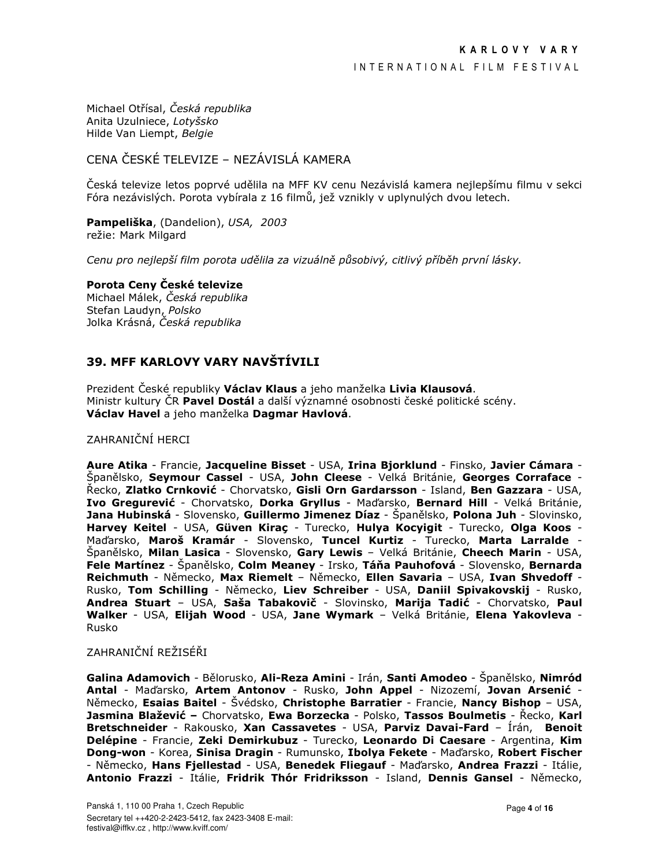Michael Otřísal, Česká republika Anita Uzulniece, Lotyšsko Hilde Van Liempt, Belgie

# CENA ČESKÉ TELEVIZE – NEZÁVISLÁ KAMERA

Česká televize letos poprvé udělila na MFF KV cenu Nezávislá kamera nejlepšímu filmu v sekci Fóra nezávislých. Porota vybírala z 16 filmů, jež vznikly v uplynulých dvou letech.

Pampeliška, (Dandelion), USA, 2003 režie: Mark Milgard

Cenu pro nejlepší film porota udělila za vizuálně působivý, citlivý příběh první lásky.

#### Porota Ceny České televize

Michael Málek, Česká republika Stefan Laudyn, Polsko Jolka Krásná, Česká republika

# 39. MFF KARLOVY VARY NAVŠTÍVILI

Prezident České republiky **Václav Klaus** a jeho manželka Livia Klausová. Ministr kultury ČR Pavel Dostál a další významné osobnosti české politické scény. Václav Havel a jeho manželka Dagmar Havlová.

## ZAHRANIČNÍ HERCI

Aure Atika - Francie, Jacqueline Bisset - USA, Irina Biorklund - Finsko, Javier Cámara -Španělsko, Seymour Cassel - USA, John Cleese - Velká Británie, Georges Corraface -Řecko, Zlatko Crnković - Chorvatsko, Gisli Orn Gardarsson - Island, Ben Gazzara - USA, Ivo Gregurević - Chorvatsko, Dorka Gryllus - Maďarsko, Bernard Hill - Velká Británie, Jana Hubinská - Slovensko, Guillermo Jimenez Díaz - Španělsko, Polona Juh - Slovinsko, Harvey Keitel - USA, Güven Kirac - Turecko, Hulya Kocyigit - Turecko, Olga Koos -Maďarsko, Maroš Kramár - Slovensko, Tuncel Kurtiz - Turecko, Marta Larralde -Španělsko, Milan Lasica - Slovensko, Gary Lewis - Velká Británie, Cheech Marin - USA, Fele Martínez - Španělsko, Colm Meaney - Irsko, Táňa Pauhofová - Slovensko, Bernarda Reichmuth - Německo, Max Riemelt - Německo, Ellen Savaria - USA, Ivan Shvedoff -Rusko, Tom Schilling - Německo, Liev Schreiber - USA, Daniil Spivakovskij - Rusko, Andrea Stuart - USA, Saša Tabakovič - Slovinsko, Marija Tadić - Chorvatsko, Paul Walker - USA, Elijah Wood - USA, Jane Wymark - Velká Británie, Elena Yakovleva -Rusko

## ZAHRANIČNÍ REŽISÉŘI

Galina Adamovich - Bělorusko, Ali-Reza Amini - Irán, Santi Amodeo - Španělsko, Nimród Antal - Maďarsko, Artem Antonov - Rusko, John Appel - Nizozemí, Jovan Arsenić -Německo, Esaias Baitel - Švédsko, Christophe Barratier - Francie, Nancy Bishop – USA, Jasmina Blažević - Chorvatsko, Ewa Borzecka - Polsko, Tassos Boulmetis - Řecko, Karl Bretschneider - Rakousko, Xan Cassavetes - USA, Parviz Davai-Fard - Írán, Benoit Delépine - Francie, Zeki Demirkubuz - Turecko, Leonardo Di Caesare - Argentina, Kim Dong-won - Korea, Sinisa Dragin - Rumunsko, Ibolya Fekete - Maďarsko, Robert Fischer - Německo, Hans Fjellestad - USA, Benedek Fliegauf - Maďarsko, Andrea Frazzi - Itálie, Antonio Frazzi - Itálie, Fridrik Thór Fridriksson - Island, Dennis Gansel - Německo,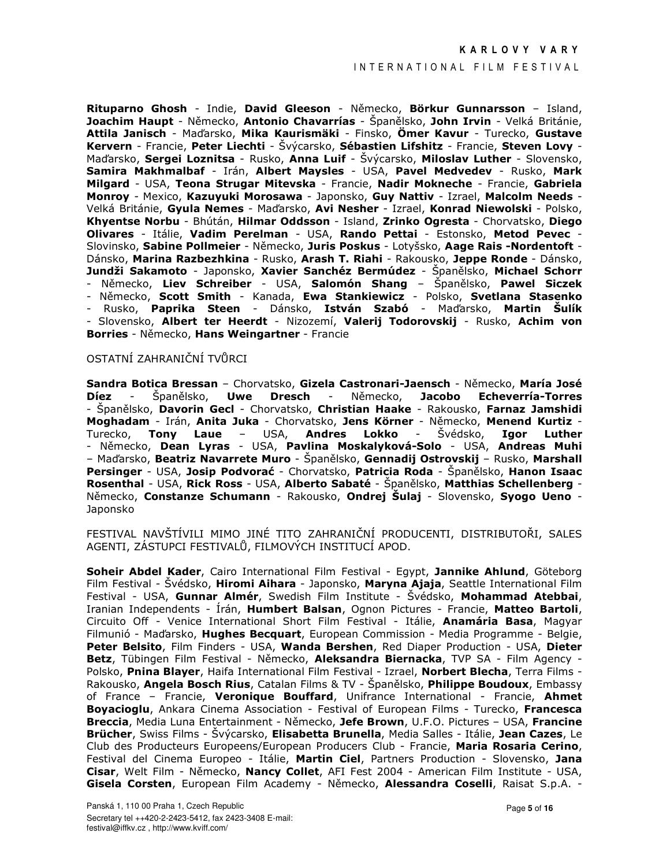#### INTERNATIONAL FILM FESTIVAL

Rituparno Ghosh - Indie, David Gleeson - Německo, Börkur Gunnarsson - Island, Joachim Haupt - Německo, Antonio Chavarrías - Španělsko, John Irvin - Velká Británie, Attila Janisch - Maďarsko, Mika Kaurismäki - Finsko, Ömer Kavur - Turecko, Gustave Kervern - Francie, Peter Liechti - Švýcarsko, Sébastien Lifshitz - Francie, Steven Lovy -Maďarsko, Sergei Loznitsa - Rusko, Anna Luif - Švýcarsko, Miloslav Luther - Slovensko, Samira Makhmalbaf - Irán, Albert Maysles - USA, Pavel Medvedev - Rusko, Mark Milgard - USA, Teona Strugar Mitevska - Francie, Nadir Mokneche - Francie, Gabriela Monroy - Mexico, Kazuyuki Morosawa - Japonsko, Guy Nattiv - Izrael, Malcolm Needs -Velká Británie, Gyula Nemes - Maďarsko, Avi Nesher - Izrael, Konrad Niewolski - Polsko, Khyentse Norbu - Bhútán, Hilmar Oddsson - Island, Zrinko Ogresta - Chorvatsko, Diego Olivares - Itálie, Vadim Perelman - USA, Rando Pettai - Estonsko, Metod Pevec -Slovinsko, Sabine Pollmeier - Německo, Juris Poskus - Lotyšsko, Aage Rais -Nordentoft -Dánsko, Marina Razbezhkina - Rusko, Arash T. Riahi - Rakousko, Jeppe Ronde - Dánsko, Jundži Sakamoto - Japonsko, Xavier Sanchéz Bermúdez - Španělsko, Michael Schorr - Německo, Liev Schreiber - USA, Salomón Shang - Španělsko, Pawel Siczek - Německo, Scott Smith - Kanada, Ewa Stankiewicz - Polsko, Svetlana Stasenko - Rusko, **Paprika Steen -** Dánsko, **István Szabó -** Maďarsko, **Martin Šulík** - Slovensko, Albert ter Heerdt - Nizozemí, Valerij Todorovskij - Rusko, Achim von Borries - Německo, Hans Weingartner - Francie

## OSTATNÍ ZAHRANIČNÍ TVŮRCI

Sandra Botica Bressan - Chorvatsko, Gizela Castronari-Jaensch - Německo, María José **Díez Uwe Dresch** Německo, **Jacobo Echeverría-Torres** Španělsko,  $\sim$ - Španělsko, Davorin Gecl - Chorvatsko, Christian Haake - Rakousko, Farnaz Jamshidi Moghadam - Irán, Anita Juka - Chorvatsko, Jens Körner - Německo, Menend Kurtiz -Laue - USA, Andres Lokko  $\sim 10^{-1}$ Švédsko, Turecko, Tony Igor Luther - Německo, Dean Lyras - USA, Pavlina Moskalyková-Solo - USA, Andreas Muhi - Maďarsko, Beatriz Navarrete Muro - Španělsko, Gennadij Ostrovskij - Rusko, Marshall Persinger - USA, Josip Podvorać - Chorvatsko, Patricia Roda - Španělsko, Hanon Isaac Rosenthal - USA, Rick Ross - USA, Alberto Sabaté - Španělsko, Matthias Schellenberg -Německo, Constanze Schumann - Rakousko, Ondrej Šulaj - Slovensko, Svogo Ueno -Japonsko

FESTIVAL NAVŠTÍVILI MIMO JINÉ TITO ZAHRANIČNÍ PRODUCENTI, DISTRIBUTOŘI, SALES AGENTI, ZÁSTUPCI FESTIVALŮ, FILMOVÝCH INSTITUCÍ APOD.

Soheir Abdel Kader, Cairo International Film Festival - Egypt, Jannike Ahlund, Göteborg Film Festival - Švédsko, **Hiromi Aihara** - Japonsko, Maryna Ajaja, Seattle International Film Festival - USA, Gunnar Almér, Swedish Film Institute - Švédsko, Mohammad Atebbai, Iranian Independents - Írán, Humbert Balsan, Ognon Pictures - Francie, Matteo Bartoli, Circuito Off - Venice International Short Film Festival - Itálie, Anamária Basa, Magyar Filmunió - Maďarsko, Hughes Becquart, European Commission - Media Programme - Belgie, Peter Belsito, Film Finders - USA, Wanda Bershen, Red Diaper Production - USA, Dieter Betz, Tübingen Film Festival - Německo, Aleksandra Biernacka, TVP SA - Film Agency -Polsko, Pnina Blayer, Haifa International Film Festival - Izrael, Norbert Blecha, Terra Films -Rakousko, Angela Bosch Rius, Catalan Films & TV - Španělsko, Philippe Boudoux, Embassy of France - Francie, Veronique Bouffard, Unifrance International - Francie, Ahmet Boyacioglu, Ankara Cinema Association - Festival of European Films - Turecko, Francesca Breccia, Media Luna Entertainment - Německo, Jefe Brown, U.F.O. Pictures - USA, Francine Brücher, Swiss Films - Švýcarsko, Elisabetta Brunella, Media Salles - Itálie, Jean Cazes, Le Club des Producteurs Europeens/European Producers Club - Francie, Maria Rosaria Cerino, Festival del Cinema Europeo - Itálie, Martin Ciel, Partners Production - Slovensko, Jana Cisar, Welt Film - Německo, Nancy Collet, AFI Fest 2004 - American Film Institute - USA, Gisela Corsten, European Film Academy - Německo, Alessandra Coselli, Raisat S.p.A. -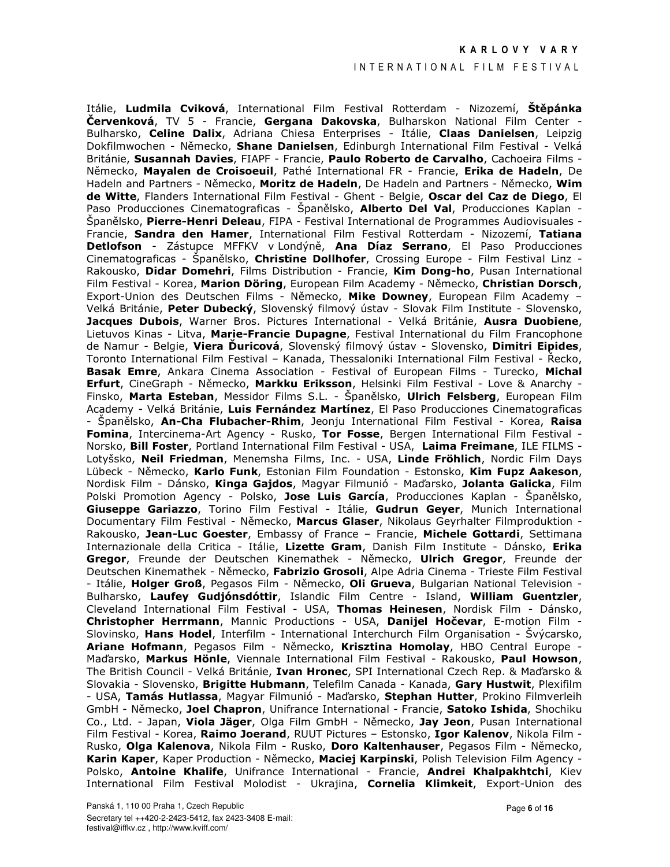#### INTERNATIONAL FILM FESTIVAL

Itálie, Ludmila Cviková, International Film Festival Rotterdam - Nizozemí, Štěpánka **Červenková**, TV 5 - Francie, Gergana Dakovska, Bulharskon National Film Center -Bulharsko, Celine Dalix, Adriana Chiesa Enterprises - Itálie, Claas Danielsen, Leipzig Dokfilmwochen - Německo, Shane Danielsen, Edinburgh International Film Festival - Velká Británie, Susannah Davies, FIAPF - Francie, Paulo Roberto de Carvalho, Cachoeira Films -Německo, Mayalen de Croisoeuil, Pathé International FR - Francie, Erika de Hadeln, De Hadeln and Partners - Německo, Moritz de Hadeln, De Hadeln and Partners - Německo, Wim de Witte, Flanders International Film Festival - Ghent - Belgie, Oscar del Caz de Diego, El Paso Producciones Cinematograficas - Španělsko, Alberto Del Val, Producciones Kaplan -Španělsko, Pierre-Henri Deleau, FIPA - Festival International de Programmes Audiovisuales -Francie, Sandra den Hamer, International Film Festival Rotterdam - Nizozemí, Tatiana Detlofson - Zástupce MFFKV v Londýně, Ana Díaz Serrano, El Paso Producciones Cinematograficas - Španělsko, Christine Dollhofer, Crossing Europe - Film Festival Linz -Rakousko, Didar Domehri, Films Distribution - Francie, Kim Dong-ho, Pusan International Film Festival - Korea, Marion Döring, European Film Academy - Německo, Christian Dorsch, Export-Union des Deutschen Films - Německo, Mike Downey, European Film Academy -Velká Británie, Peter Dubecký, Slovenský filmový ústav - Slovak Film Institute - Slovensko, Jacques Dubois, Warner Bros, Pictures International - Velká Británie, Ausra Duobiene, Lietuvos Kinas - Litva, Marie-Francie Dupagne, Festival International du Film Francophone de Namur - Belgie, Viera Duricová, Slovenský filmový ústav - Slovensko, Dimitri Eipides, Toronto International Film Festival - Kanada, Thessaloniki International Film Festival - Řecko, Basak Emre, Ankara Cinema Association - Festival of European Films - Turecko, Michal **Erfurt**, CineGraph - Německo, Markku Eriksson, Helsinki Film Festival - Love & Anarchy -Finsko, Marta Esteban, Messidor Films S.L. - Španělsko, Ulrich Felsberg, European Film Academy - Velká Británie, Luis Fernández Martínez, El Paso Producciones Cinematograficas - Španělsko, An-Cha Flubacher-Rhim, Jeonju International Film Festival - Korea, Raisa Fomina, Intercinema-Art Agency - Rusko, Tor Fosse, Bergen International Film Festival -Norsko, Bill Foster, Portland International Film Festival - USA, Laima Freimane, ILE FILMS -Lotyšsko, Neil Friedman, Menemsha Films, Inc. - USA, Linde Fröhlich, Nordic Film Days Lübeck - Německo, Karlo Funk, Estonian Film Foundation - Estonsko, Kim Fupz Aakeson, Nordisk Film - Dánsko, Kinga Gajdos, Magyar Filmunió - Maďarsko, Jolanta Galicka, Film Polski Promotion Agency - Polsko, Jose Luis García, Producciones Kaplan - Španělsko, Giuseppe Gariazzo, Torino Film Festival - Itálie, Gudrun Geyer, Munich International Documentary Film Festival - Německo, Marcus Glaser, Nikolaus Geyrhalter Filmproduktion -Rakousko, Jean-Luc Goester, Embassy of France - Francie, Michele Gottardi, Settimana Internazionale della Critica - Itálie, Lizette Gram, Danish Film Institute - Dánsko, Erika Gregor, Freunde der Deutschen Kinemathek - Německo, Ulrich Gregor, Freunde der Deutschen Kinemathek - Německo, Fabrizio Grosoli, Alpe Adria Cinema - Trieste Film Festival - Itálie, Holger Groß, Pegasos Film - Německo, Oli Grueva, Bulgarian National Television -Bulharsko, Laufey Gudjónsdóttir, Islandic Film Centre - Island, William Guentzler, Cleveland International Film Festival - USA, Thomas Heinesen, Nordisk Film - Dánsko, Christopher Herrmann, Mannic Productions - USA, Danijel Hočevar, E-motion Film -Slovinsko, **Hans Hodel**, Interfilm - International Interchurch Film Organisation - Švýcarsko, Ariane Hofmann, Pegasos Film - Německo, Krisztina Homolay, HBO Central Europe -Maďarsko, Markus Hönle, Viennale International Film Festival - Rakousko, Paul Howson, The British Council - Velká Británie, Ivan Hronec, SPI International Czech Rep. & Maďarsko & Slovakia - Slovensko, Brigitte Hubmann, Telefilm Canada - Kanada, Gary Hustwit, Plexifilm - USA, Tamás Hutlassa, Magyar Filmunió - Maďarsko, Stephan Hutter, Prokino Filmverleih GmbH - Německo, Joel Chapron, Unifrance International - Francie, Satoko Ishida, Shochiku Co., Ltd. - Japan, Viola Jäger, Olga Film GmbH - Německo, Jay Jeon, Pusan International Film Festival - Korea, Raimo Joerand, RUUT Pictures - Estonsko, Igor Kalenov, Nikola Film -Rusko, Olga Kalenova, Nikola Film - Rusko, Doro Kaltenhauser, Pegasos Film - Německo, Karin Kaper, Kaper Production - Německo, Maciej Karpinski, Polish Television Film Agency -Polsko, Antoine Khalife, Unifrance International - Francie, Andrei Khalpakhtchi, Kiev International Film Festival Molodist - Ukrajina, Cornelia Klimkeit, Export-Union des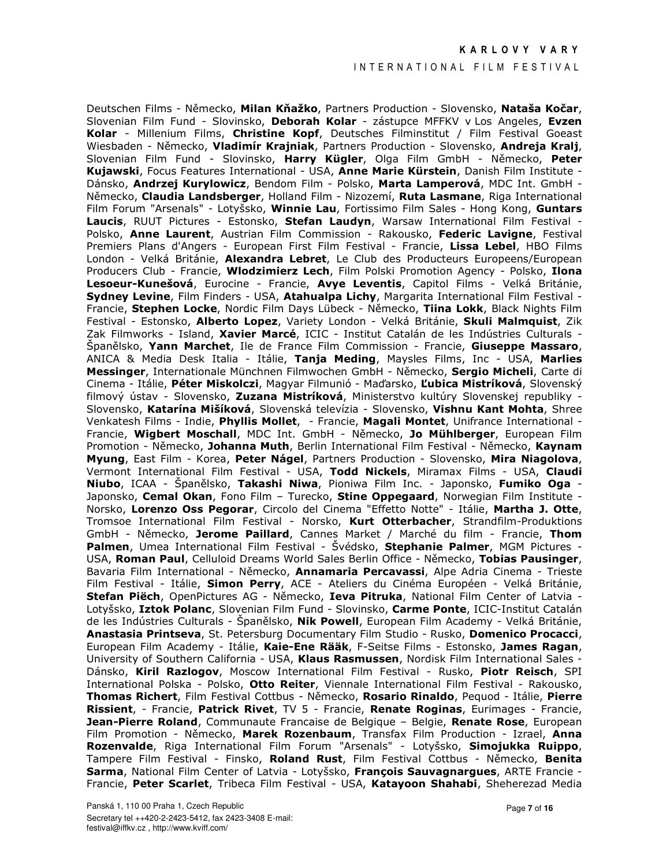### INTERNATIONAL FILM FESTIVAL

Deutschen Films - Německo, Milan Kňažko, Partners Production - Slovensko, Nataša Kočar, Slovenian Film Fund - Slovinsko, Deborah Kolar - zástupce MFFKV v Los Angeles, Evzen Kolar - Millenium Films, Christine Kopf, Deutsches Filminstitut / Film Festival Goeast Wiesbaden - Německo, Vladimír Krajniak, Partners Production - Slovensko, Andreja Kralj, Slovenian Film Fund - Slovinsko, Harry Kügler, Olga Film GmbH - Německo, Peter Kujawski, Focus Features International - USA, Anne Marie Kürstein, Danish Film Institute -Dánsko, Andrzej Kurylowicz, Bendom Film - Polsko, Marta Lamperová, MDC Int. GmbH -Německo, Claudia Landsberger, Holland Film - Nizozemí, Ruta Lasmane, Riga International Film Forum "Arsenals" - Lotyšsko, Winnie Lau, Fortissimo Film Sales - Hong Kong, Guntars Laucis, RUUT Pictures - Estonsko, Stefan Laudyn, Warsaw International Film Festival -Polsko, Anne Laurent, Austrian Film Commission - Rakousko, Federic Lavigne, Festival Premiers Plans d'Angers - European First Film Festival - Francie, Lissa Lebel, HBO Films London - Velká Británie, Alexandra Lebret, Le Club des Producteurs Europeens/European Producers Club - Francie, Wlodzimierz Lech, Film Polski Promotion Agency - Polsko, Ilona Lesoeur-Kunešová, Eurocine - Francie, Avye Leventis, Capitol Films - Velká Británie, Sydney Levine, Film Finders - USA, Atahualpa Lichy, Margarita International Film Festival -Francie, Stephen Locke, Nordic Film Davs Lübeck - Německo, Tiina Lokk, Black Nights Film Festival - Estonsko, Alberto Lopez, Variety London - Velká Británie, Skuli Malmquist, Zik Zak Filmworks - Island, Xavier Marcé, ICIC - Institut Catalán de les Indústries Culturals -Spanělsko, Yann Marchet, Ile de France Film Commission - Francie, Giuseppe Massaro, ANICA & Media Desk Italia - Itálie, Tanja Meding, Maysles Films, Inc - USA, Marlies Messinger, Internationale Münchnen Filmwochen GmbH - Německo, Sergio Micheli, Carte di Cinema - Itálie, Péter Miskolczi, Magyar Filmunió - Maďarsko, Lubica Mistríková, Slovenský filmový ústav - Slovensko, Zuzana Mistríková, Ministerstvo kultúry Slovenskej republiky -Slovensko, Katarína Mišíková, Slovenská televízia - Slovensko, Vishnu Kant Mohta, Shree Venkatesh Films - Indie, Phyllis Mollet, - Francie, Magali Montet, Unifrance International -Francie, Wigbert Moschall, MDC Int. GmbH - Německo, Jo Mühlberger, European Film Promotion - Německo, Johanna Muth, Berlin International Film Festival - Německo, Kaynam Myung, East Film - Korea, Peter Nágel, Partners Production - Slovensko, Mira Niagolova, Vermont International Film Festival - USA, Todd Nickels, Miramax Films - USA, Claudi Niubo, ICAA - Španělsko, Takashi Niwa, Pioniwa Film Inc. - Japonsko, Fumiko Oga -Japonsko, Cemal Okan, Fono Film - Turecko, Stine Oppegaard, Norwegian Film Institute -Norsko, Lorenzo Oss Pegorar, Circolo del Cinema "Effetto Notte" - Itálie, Martha J. Otte, Tromsoe International Film Festival - Norsko, Kurt Otterbacher, Strandfilm-Produktions GmbH - Německo, Jerome Paillard, Cannes Market / Marché du film - Francie, Thom Palmen, Umea International Film Festival - Svédsko, Stephanie Palmer, MGM Pictures -USA, Roman Paul, Celluloid Dreams World Sales Berlin Office - Německo, Tobias Pausinger, Bavaria Film International - Německo, Annamaria Percavassi, Alpe Adria Cinema - Trieste Film Festival - Itálie, Simon Perry, ACE - Ateliers du Cinéma Européen - Velká Británie, Stefan Piëch, OpenPictures AG - Německo, Ieva Pitruka, National Film Center of Latvia -Lotyšsko, Iztok Polanc, Slovenian Film Fund - Slovinsko, Carme Ponte, ICIC-Institut Catalán de les Indústries Culturals - Španělsko, **Nik Powell**, European Film Academy - Velká Británie, Anastasia Printseva, St. Petersburg Documentary Film Studio - Rusko, Domenico Procacci, European Film Academy - Itálie, Kaie-Ene Rääk, F-Seitse Films - Estonsko, James Ragan, University of Southern California - USA, Klaus Rasmussen, Nordisk Film International Sales -Dánsko, Kiril Razlogov, Moscow International Film Festival - Rusko, Piotr Reisch, SPI International Polska - Polsko, Otto Reiter, Viennale International Film Festival - Rakousko, Thomas Richert, Film Festival Cottbus - Německo, Rosario Rinaldo, Pequod - Itálie, Pierre Rissient, - Francie, Patrick Rivet, TV 5 - Francie, Renate Roginas, Eurimages - Francie, Jean-Pierre Roland, Communaute Francaise de Belgique - Belgie, Renate Rose, European Film Promotion - Německo, Marek Rozenbaum, Transfax Film Production - Izrael, Anna Rozenvalde, Riga International Film Forum "Arsenals" - Lotyšsko, Simojukka Ruippo, Tampere Film Festival - Finsko, Roland Rust, Film Festival Cottbus - Německo, Benita Sarma, National Film Center of Latvia - Lotyšsko, François Sauvagnargues, ARTE Francie -Francie, Peter Scarlet, Tribeca Film Festival - USA, Katayoon Shahabi, Sheherezad Media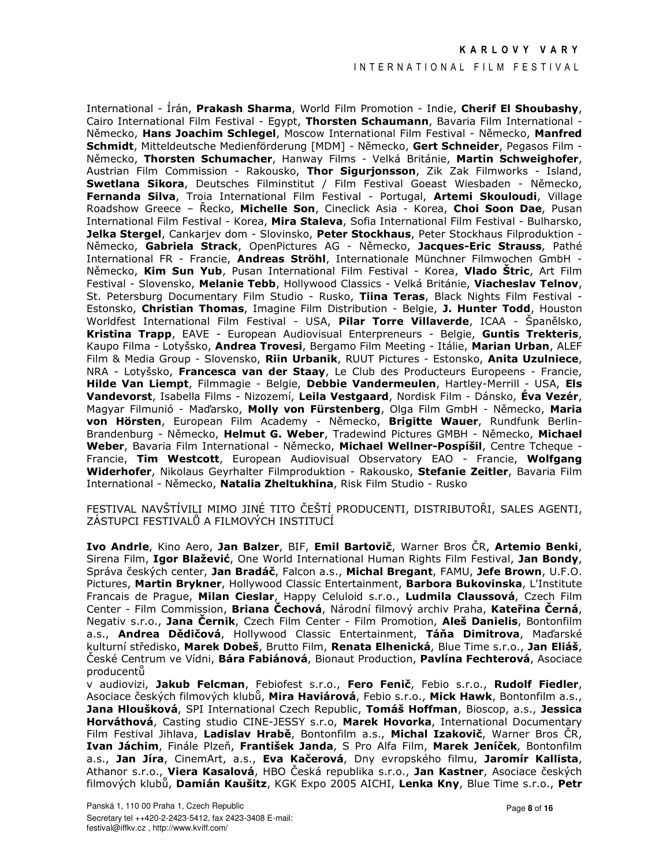#### INTERNATIONAL FILM FESTIVAL

International - Írán, Prakash Sharma, World Film Promotion - Indie, Cherif El Shoubashy, Cairo International Film Festival - Egypt, Thorsten Schaumann, Bavaria Film International -Německo, Hans Joachim Schlegel, Moscow International Film Festival - Německo, Manfred Schmidt, Mitteldeutsche Medienförderung [MDM] - Německo, Gert Schneider, Pegasos Film -Německo, Thorsten Schumacher, Hanway Films - Velká Británie, Martin Schweighofer, Austrian Film Commission - Rakousko, Thor Sigurjonsson, Zik Zak Filmworks - Island, Swetlana Sikora, Deutsches Filminstitut / Film Festival Goeast Wiesbaden - Německo, Fernanda Silva, Troia International Film Festival - Portugal, Artemi Skouloudi, Village Roadshow Greece - Recko, Michelle Son, Cineclick Asia - Korea, Choi Soon Dae, Pusan International Film Festival - Korea, Mira Staleva, Sofia International Film Festival - Bulharsko, Jelka Stergel, Cankarjev dom - Slovinsko, Peter Stockhaus, Peter Stockhaus Filproduktion -Německo, Gabriela Strack, OpenPictures AG - Německo, Jacques-Eric Strauss, Pathé International FR - Francie, Andreas Ströhl, Internationale Münchner Filmwochen GmbH -Německo, Kim Sun Yub, Pusan International Film Festival - Korea, Vlado Štric, Art Film Festival - Slovensko, Melanie Tebb, Hollywood Classics - Velká Británie, Viacheslav Telnov, St. Petersburg Documentary Film Studio - Rusko, Tiina Teras, Black Nights Film Festival -Estonsko, Christian Thomas, Imagine Film Distribution - Belgie, J. Hunter Todd, Houston Worldfest International Film Festival - USA, Pilar Torre Villaverde, ICAA - Spanělsko, Kristina Trapp, EAVE - European Audiovisual Enterpreneurs - Belgie, Guntis Trekteris, Kaupo Filma - Lotyšsko, Andrea Trovesi, Bergamo Film Meeting - Itálie, Marian Urban, ALEF Film & Media Group - Slovensko, Riin Urbanik, RUUT Pictures - Estonsko, Anita Uzulniece, NRA - Lotyšsko, Francesca van der Staay, Le Club des Producteurs Europeens - Francie, Hilde Van Liempt, Filmmagie - Belgie, Debbie Vandermeulen, Hartley-Merrill - USA, Els Vandevorst, Isabella Films - Nizozemí, Leila Vestgaard, Nordisk Film - Dánsko, Éva Vezér, Magyar Filmunió - Maďarsko, Molly von Fürstenberg, Olga Film GmbH - Německo, Maria von Hörsten, European Film Academy - Německo, Brigitte Wauer, Rundfunk Berlin-Brandenburg - Německo, Helmut G. Weber, Tradewind Pictures GMBH - Německo, Michael Weber, Bavaria Film International - Německo, Michael Wellner-Pospíšil, Centre Tcheque -Francie, Tim Westcott, European Audiovisual Observatory EAO - Francie, Wolfgang Widerhofer, Nikolaus Geyrhalter Filmproduktion - Rakousko, Stefanie Zeitler, Bavaria Film International - Německo, Natalia Zheltukhina, Risk Film Studio - Rusko

FESTIVAL NAVŠTÍVILI MIMO JINÉ TITO ČEŠTÍ PRODUCENTI, DISTRIBUTOŘI, SALES AGENTI, ZÁSTUPCI FESTIVALŮ A FILMOVÝCH INSTITUCÍ

Ivo Andrle, Kino Aero, Jan Balzer, BIF, Emil Bartovič, Warner Bros ČR, Artemio Benki, Sirena Film, Igor Blažević, One World International Human Rights Film Festival, Jan Bondy, Správa českých center, Jan Bradáč, Falcon a.s., Michal Bregant, FAMU, Jefe Brown, U.F.O. Pictures, Martin Brykner, Hollywood Classic Entertainment, Barbora Bukovinska, L'Institute Francais de Prague, Milan Cieslar, Happy Celuloid s.r.o., Ludmila Claussová, Czech Film Center - Film Commission, Briana Čechová, Národní filmový archiv Praha, Kateřina Černá, Negativ s.r.o., Jana Černik, Czech Film Center - Film Promotion, Aleš Danielis, Bontonfilm a.s., Andrea Dědičová, Hollywood Classic Entertainment, Táňa Dimitrova, Maďarské kulturní středisko, Marek Dobeš, Brutto Film, Renata Elhenická, Blue Time s.r.o., Jan Eliáš, České Centrum ve Vídni, **Bára Fabiánová**, Bionaut Production, **Pavlína Fechterová**, Asociace producentŭ

v audiovizi, Jakub Felcman, Febiofest s.r.o., Fero Fenič, Febio s.r.o., Rudolf Fiedler, Asociace českých filmových klubů, Mira Haviárová, Febio s.r.o., Mick Hawk, Bontonfilm a.s., Jana Hloušková, SPI International Czech Republic, Tomáš Hoffman, Bioscop, a.s., Jessica Horváthová, Casting studio CINE-JESSY s.r.o, Marek Hovorka, International Documentary Film Festival Jihlava, Ladislav Hrabě, Bontonfilm a.s., Michal Izakovič, Warner Bros ČR, Ivan Jáchim, Finále Plzeň, František Janda, S Pro Alfa Film, Marek Jeníček, Bontonfilm a.s., Jan Jíra, CinemArt, a.s., Eva Kačerová, Dny evropského filmu, Jaromír Kallista, Athanor s.r.o., Viera Kasalová, HBO Česká republika s.r.o., Jan Kastner, Asociace českých filmových klubů, Damián Kaušitz, KGK Expo 2005 AICHI, Lenka Kny, Blue Time s.r.o., Petr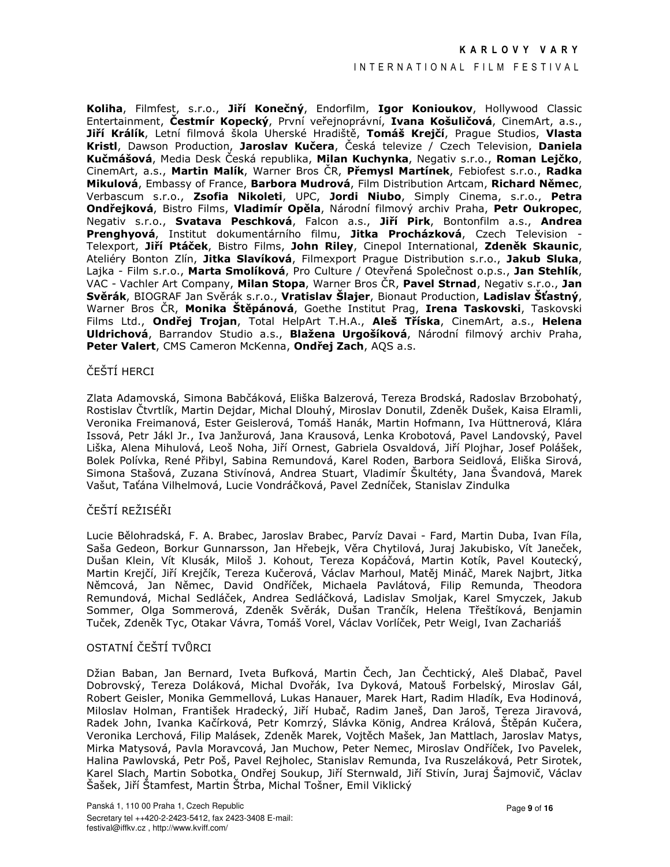## INTERNATIONAL FILM FESTIVAL

Koliha, Filmfest, s.r.o., Jiří Konečný, Endorfilm, Igor Konioukov, Hollywood Classic Entertainment, Čestmír Kopecký, První veřejnoprávní, Ivana Košuličová, CinemArt, a.s., Jiří Králík, Letní filmová škola Uherské Hradiště, Tomáš Krejčí, Prague Studios, Vlasta Kristl, Dawson Production, Jaroslav Kučera, Česká televize / Czech Television, Daniela Kučmášová, Media Desk Česká republika, Milan Kuchvnka, Negativ s.r.o., Roman Leičko, CinemArt, a.s., Martin Malík, Warner Bros ČR, Přemysl Martínek, Febiofest s.r.o., Radka Mikulová, Embassy of France, Barbora Mudrová, Film Distribution Artcam, Richard Němec, Verbascum s.r.o., Zsofia Nikoleti, UPC, Jordi Niubo, Simply Cinema, s.r.o., Petra Ondřejková, Bistro Films, Vladimír Opěla, Národní filmový archiv Praha, Petr Oukropec, Negativ s.r.o., Svatava Peschková, Falcon a.s., Jiří Pirk, Bontonfilm a.s., Andrea Prenghyová, Institut dokumentárního filmu, Jitka Procházková, Czech Television -Telexport, Jiří Ptáček, Bistro Films, John Riley, Cinepol International, Zdeněk Skaunic, Ateliéry Bonton Zlín, Jitka Slavíková, Filmexport Prague Distribution s.r.o., Jakub Sluka, Lajka - Film s.r.o., Marta Smolíková, Pro Culture / Otevřená Společnost o.p.s., Jan Stehlík, VAC - Vachler Art Company, Milan Stopa, Warner Bros ČR, Pavel Strnad, Negativ s.r.o., Jan Svěrák, BIOGRAF Jan Svěrák s.r.o., Vratislav Šlajer, Bionaut Production, Ladislav Šťastný, Warner Bros ČR, **Monika Štěpánová**, Goethe Institut Prag, **Irena Taskovski**, Taskovski Films Ltd., Ondřej Trojan, Total HelpArt T.H.A., Aleš Tříska, CinemArt, a.s., Helena Uldrichová, Barrandov Studio a.s., Blažena Urgošíková, Národní filmový archiv Praha, Peter Valert, CMS Cameron McKenna, Ondřej Zach, AQS a.s.

#### ČEŠTÍ HERCI

Zlata Adamovská, Simona Babčáková, Eliška Balzerová, Tereza Brodská, Radoslav Brzobohatý, Rostislav Čtvrtlík, Martin Dejdar, Michal Dlouhý, Miroslav Donutil, Zdeněk Dušek, Kaisa Elramli, Veronika Freimanová, Ester Geislerová, Tomáš Hanák, Martin Hofmann, Iva Hüttnerová, Klára Issová, Petr Jákl Jr., Iva Janžurová, Jana Krausová, Lenka Krobotová, Pavel Landovský, Pavel Liška, Alena Mihulová, Leoš Noha, Jiří Ornest, Gabriela Osvaldová, Jiří Plojhar, Josef Polášek, Bolek Polívka, René Přibyl, Sabina Remundová, Karel Roden, Barbora Seidlová, Eliška Sirová, Simona Stašová, Zuzana Stivínová, Andrea Stuart, Vladimír Škultéty, Jana Švandová, Marek Vašut, Taťána Vilhelmová, Lucie Vondráčková, Pavel Zedníček, Stanislav Zindulka

## ČEŠTÍ REŽISÉŘI

Lucie Bělohradská, F. A. Brabec, Jaroslav Brabec, Parvíz Davai - Fard, Martin Duba, Ivan Fíla, Saša Gedeon, Borkur Gunnarsson, Jan Hřebejk, Věra Chytilová, Juraj Jakubisko, Vít Janeček, Dušan Klein, Vít Klusák, Miloš J. Kohout, Tereza Kopáčová, Martin Kotík, Pavel Koutecký, Martin Krejčí, Jiří Krejčík, Tereza Kučerová, Václav Marhoul, Matěj Mináč, Marek Najbrt, Jitka Němcová, Jan Němec, David Ondříček, Michaela Pavlátová, Filip Remunda, Theodora Remundová, Michal Sedláček, Andrea Sedláčková, Ladislav Smoljak, Karel Smyczek, Jakub Sommer, Olga Sommerová, Zdeněk Svěrák, Dušan Trančík, Helena Třeštíková, Benjamin Tuček, Zdeněk Tyc, Otakar Vávra, Tomáš Vorel, Václav Vorlíček, Petr Weigl, Ivan Zachariáš

## OSTATNÍ ČEŠTÍ TVŮRCI.

Džian Baban, Jan Bernard, Iveta Bufková, Martin Čech, Jan Čechtický, Aleš Dlabač, Pavel Dobrovský, Tereza Doláková, Michal Dvořák, Iva Dyková, Matouš Forbelský, Miroslav Gál, Robert Geisler, Monika Gemmellová, Lukas Hanauer, Marek Hart, Radim Hladík, Eva Hodinová, Miloslav Holman, František Hradecký, Jiří Hubač, Radim Janeš, Dan Jaroš, Tereza Jiravová, Radek John, Ivanka Kačírková, Petr Komrzý, Slávka König, Andrea Králová, Štěpán Kučera, Veronika Lerchová, Filip Malásek, Zdeněk Marek, Vojtěch Mašek, Jan Mattlach, Jaroslav Matys, Mirka Matysová, Pavla Moravcová, Jan Muchow, Peter Nemec, Miroslav Ondříček, Ivo Pavelek, Halina Pawlovská, Petr Poš, Pavel Rejholec, Stanislav Remunda, Iva Ruszeláková, Petr Sirotek, Karel Slach, Martin Sobotka, Ondřej Soukup, Jiří Sternwald, Jiří Stivín, Juraj Šajmovič, Václav Šašek, Jiří Štamfest, Martin Štrba, Michal Tošner, Emil Viklický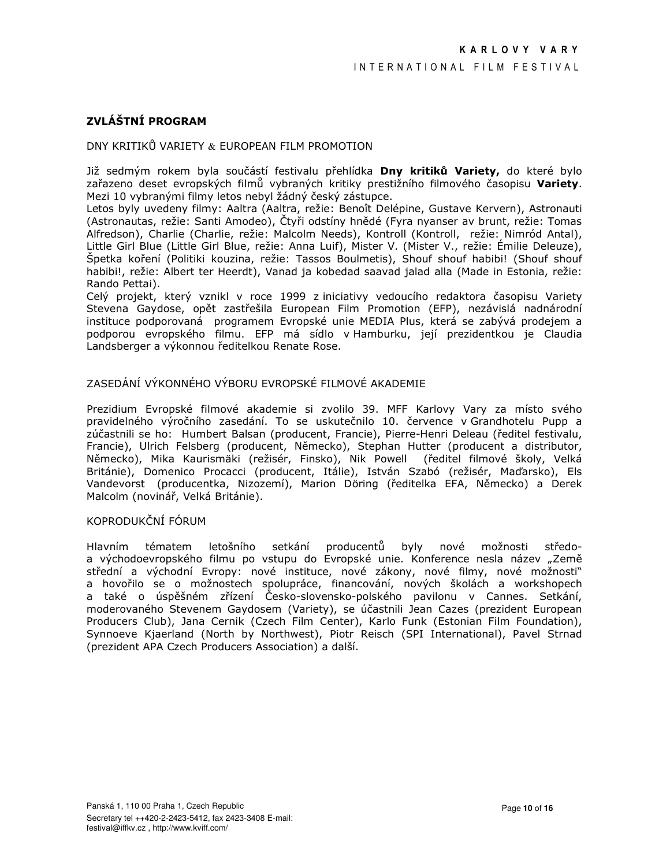# ZVLÁŠTNÍ PROGRAM

## DNY KRITIKŮ VARIETY & EUROPEAN FILM PROMOTION

Již sedmým rokem byla součástí festivalu přehlídka Dny kritiků Variety, do které bylo zařazeno deset evropských filmů vybraných kritiky prestižního filmového časopisu Variety. Mezi 10 vybranými filmy letos nebyl žádný český zástupce.

Letos byly uvedeny filmy: Aaltra (Aaltra, režie: Benoît Delépine, Gustave Kervern), Astronauti (Astronautas, režie: Santi Amodeo), Čtyři odstíny hnědé (Fyra nyanser av brunt, režie: Tomas Alfredson), Charlie (Charlie, režie: Malcolm Needs), Kontroll (Kontroll, režie: Nimród Antal), Little Girl Blue (Little Girl Blue, režie: Anna Luif), Mister V. (Mister V., režie: Émilie Deleuze), Špetka koření (Politiki kouzina, režie: Tassos Boulmetis), Shouf shouf habibi! (Shouf shouf habibi!, režie: Albert ter Heerdt), Vanad ja kobedad saavad jalad alla (Made in Estonia, režie: Rando Pettai).

Celý projekt, který vznikl v roce 1999 z iniciativy vedoucího redaktora časopisu Variety Stevena Gaydose, opět zastřešila European Film Promotion (EFP), nezávislá nadnárodní instituce podporovaná programem Evropské unie MEDIA Plus, která se zabývá prodejem a podporou evropského filmu. EFP má sídlo v Hamburku, její prezidentkou je Claudia Landsberger a výkonnou ředitelkou Renate Rose.

## ZASEDÁNÍ VÝKONNÉHO VÝBORIJ EVROPSKÉ FILMOVÉ AKADEMIE

Prezidium Evropské filmové akademie si zvolilo 39. MFF Karlovy Vary za místo svého pravidelného výročního zasedání. To se uskutečnilo 10. července v Grandhotelu Pupp a zúčastnili se ho: Humbert Balsan (producent, Francie), Pierre-Henri Deleau (ředitel festivalu, Francie), Ulrich Felsberg (producent, Německo), Stephan Hutter (producent a distributor, Německo), Mika Kaurismäki (režisér, Finsko), Nik Powell (ředitel filmové školy, Velká Británie), Domenico Procacci (producent, Itálie), István Szabó (režisér, Maďarsko), Els Vandevorst (producentka, Nizozemí), Marion Döring (ředitelka EFA, Německo) a Derek Malcolm (novinář, Velká Británie).

## KOPRODUKČNÍ FÓRUM

Hlavním středotématem letošního setkání producentů byly nové možnosti a východoevropského filmu po vstupu do Evropské unie. Konference nesla název "Země střední a východní Evropy: nové instituce, nové zákony, nové filmy, nové možnosti" a hovořilo se o možnostech spolupráce, financování, nových školách a workshopech a také o úspěšném zřízení Česko-slovensko-polského pavilonu v Cannes. Setkání, moderovaného Stevenem Gaydosem (Variety), se účastnili Jean Cazes (prezident European Producers Club), Jana Cernik (Czech Film Center), Karlo Funk (Estonian Film Foundation), Synnoeve Kjaerland (North by Northwest), Piotr Reisch (SPI International), Pavel Strnad (prezident APA Czech Producers Association) a další.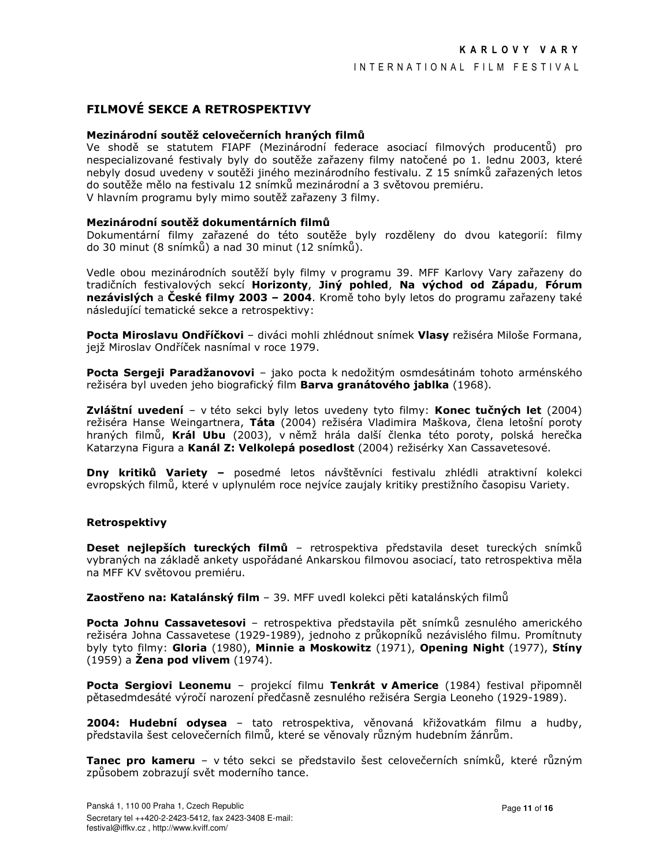## FILMOVÉ SEKCE A RETROSPEKTIVY

### Mezinárodní soutěž celovečerních hraných filmů

Ve shodě se statutem FIAPF (Mezinárodní federace asociací filmových producentů) pro nespecializované festivaly byly do soutěže zařazeny filmy natočené po 1. lednu 2003, které nebyly dosud uvedeny v soutěži jiného mezinárodního festivalu. Z 15 snímků zařazených letos do soutěže mělo na festivalu 12 snímků mezinárodní a 3 světovou premiéru. V hlavním programu byly mimo soutěž zařazeny 3 filmy.

#### Mezinárodní soutěž dokumentárních filmů

Dokumentární filmy zařazené do této soutěže byly rozděleny do dvou kategorií: filmy do 30 minut (8 snímků) a nad 30 minut (12 snímků).

Vedle obou mezinárodních soutěží byly filmy v programu 39. MFF Karlovy Vary zařazeny do tradičních festivalových sekcí Horizonty, Jiný pohled, Na východ od Západu, Fórum nezávislých a České filmy 2003 – 2004. Kromě toho byly letos do programu zařazeny také následující tematické sekce a retrospektivy:

Pocta Miroslavu Ondříčkovi – diváci mohli zhlédnout snímek Vlasy režiséra Miloše Formana, jejž Miroslav Ondříček nasnímal v roce 1979.

Pocta Sergeji Paradžanovovi - jako pocta k nedožitým osmdesátinám tohoto arménského režiséra byl uveden jeho biografický film Barva granátového jablka (1968).

Zvláštní uvedení - v této sekci byly letos uvedeny tyto filmy: Konec tučných let (2004) režiséra Hanse Weingartnera, Táta (2004) režiséra Vladimira Maškova, člena letošní poroty hraných filmů, Král Ubu (2003), v němž hrála další členka této poroty, polská herečka Katarzyna Figura a Kanál Z: Velkolepá posedlost (2004) režisérky Xan Cassavetesové.

Dny kritiků Variety - posedmé letos návštěvníci festivalu zhlédli atraktivní kolekci evropských filmů, které v uplynulém roce nejvíce zaujaly kritiky prestižního časopisu Variety.

## **Retrospektivy**

Deset nejlepších tureckých filmů - retrospektiva představila deset tureckých snímků vybraných na základě ankety uspořádané Ankarskou filmovou asociací, tato retrospektiva měla na MFF KV světovou premiéru.

Zaostřeno na: Katalánský film - 39. MFF uvedl kolekci pěti katalánských filmů

Pocta Johnu Cassavetesovi - retrospektiva představila pět snímků zesnulého amerického režiséra Johna Cassavetese (1929-1989), jednoho z průkopníků nezávislého filmu. Promítnuty byly tyto filmy: Gloria (1980), Minnie a Moskowitz (1971), Opening Night (1977), Stíny  $(1959)$  a **Žena pod vlivem**  $(1974)$ .

Pocta Sergiovi Leonemu - projekcí filmu Tenkrát v Americe (1984) festival připomněl pětasedmdesáté výročí narození předčasně zesnulého režiséra Sergia Leoneho (1929-1989).

2004: Hudební odysea - tato retrospektiva, věnovaná křižovatkám filmu a hudby, představila šest celovečerních filmů, které se věnovaly různým hudebním žánrům.

Tanec pro kameru - v této sekci se představilo šest celovečerních snímků, které různým způsobem zobrazují svět moderního tance.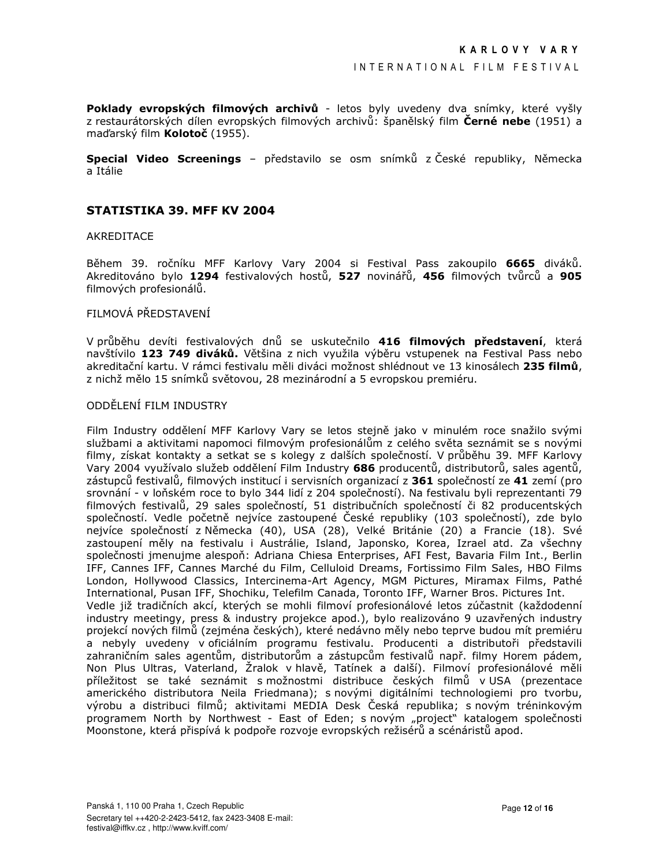Poklady evropských filmových archivů - letos byly uvedeny dva snímky, které vyšly z restaurátorských dílen evropských filmových archivů: španělský film Černé nebe (1951) a maďarský film Kolotoč (1955).

Special Video Screenings - představilo se osm snímků z České republiky, Německa a Itálie

## STATISTIKA 39. MFF KV 2004

#### AKREDITACE

Během 39. ročníku MFF Karlovy Vary 2004 si Festival Pass zakoupilo 6665 diváků. Akreditováno bylo 1294 festivalových hostů, 527 novinářů, 456 filmových tvůrců a 905 filmových profesionálů.

## FILMOVÁ PŘEDSTAVENÍ

V průběhu devíti festivalových dnů se uskutečnilo 416 filmových představení, která navštívilo 123 749 diváků. Většina z nich využila výběru vstupenek na Festival Pass nebo akreditační kartu. V rámci festivalu měli diváci možnost shlédnout ve 13 kinosálech 235 filmů, z nichž mělo 15 snímků světovou, 28 mezinárodní a 5 evropskou premiéru.

## ODDĚLENÍ FILM INDUSTRY

Film Industry oddělení MFF Karlovy Vary se letos stejně jako v minulém roce snažilo svými službami a aktivitami napomoci filmovým profesionálům z celého světa seznámit se s novými filmy, získat kontakty a setkat se s kolegy z dalších společností. V průběhu 39. MFF Karlovy Vary 2004 využívalo služeb oddělení Film Industry 686 producentů, distributorů, sales agentů, zástupců festivalů, filmových institucí i servisních organizací z 361 společností ze 41 zemí (pro srovnání - v loňském roce to bylo 344 lidí z 204 společností). Na festivalu byli reprezentanti 79 filmových festivalů, 29 sales společností, 51 distribučních společností či 82 producentských společností. Vedle početně nejvíce zastoupené České republiky (103 společností), zde bylo nejvíce společností z Německa (40), USA (28), Velké Británie (20) a Francie (18). Své zastoupení měly na festivalu i Austrálie, Island, Japonsko, Korea, Izrael atd. Za všechny společnosti jmenujme alespoň: Adriana Chiesa Enterprises, AFI Fest, Bavaria Film Int., Berlin IFF, Cannes IFF, Cannes Marché du Film, Celluloid Dreams, Fortissimo Film Sales, HBO Films London, Hollywood Classics, Intercinema-Art Agency, MGM Pictures, Miramax Films, Pathé International, Pusan IFF, Shochiku, Telefilm Canada, Toronto IFF, Warner Bros. Pictures Int. Vedle již tradičních akcí, kterých se mohli filmoví profesionálové letos zúčastnit (každodenní industry meetingy, press & industry projekce apod.), bylo realizováno 9 uzavřených industry projekcí nových filmů (zejména českých), které nedávno měly nebo teprve budou mít premiéru a nebyly uvedeny v oficiálním programu festivalu. Producenti a distributoři představili zahraničním sales agentům, distributorům a zástupcům festivalů např. filmy Horem pádem, Non Plus Ultras, Vaterland, Žralok v hlavě, Tatínek a další). Filmoví profesionálové měli příležitost se také seznámit s možnostmi distribuce českých filmů v USA (prezentace amerického distributora Neila Friedmana); s novými digitálními technologiemi pro tvorbu, výrobu a distribuci filmů; aktivitami MEDIA Desk Česká republika; s novým tréninkovým programem North by Northwest - East of Eden; s novým "project" katalogem společnosti Moonstone, která přispívá k podpoře rozvoje evropských režisérů a scénáristů apod.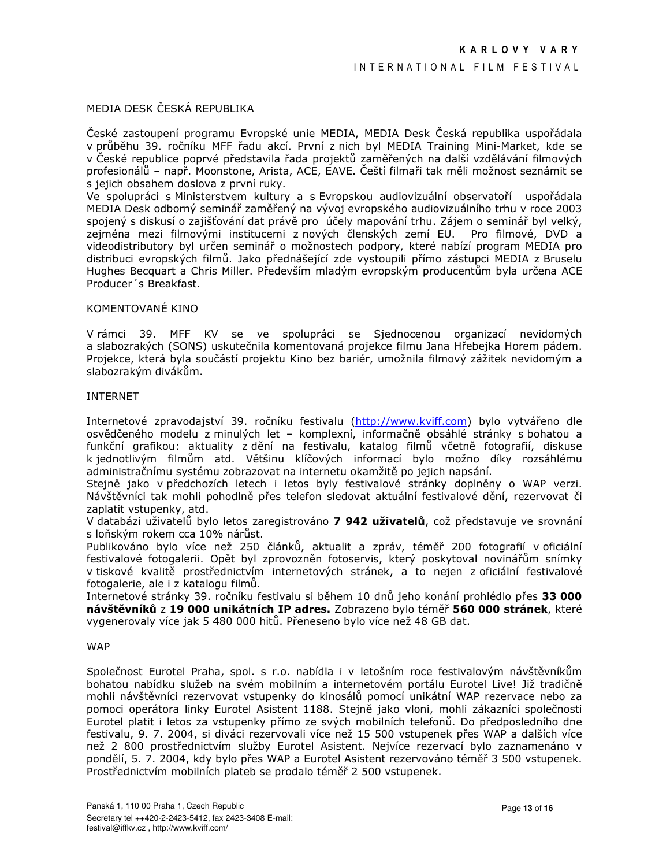## MEDIA DESK ČESKÁ REPUBLIKA

České zastoupení programu Evropské unie MEDIA, MEDIA Desk Česká republika uspořádala v průběhu 39. ročníku MFF řadu akcí. První z nich byl MEDIA Training Mini-Market, kde se v České republice poprvé představila řada projektů zaměřených na další vzdělávání filmových profesionálů – např. Moonstone, Arista, ACE, EAVE. Čeští filmaři tak měli možnost seznámit se s jejich obsahem doslova z první ruky.

Ve spolupráci s Ministerstvem kultury a s Evropskou audiovizuální observatoří uspořádala MEDIA Desk odborný seminář zaměřený na vývoj evropského audiovizuálního trhu v roce 2003 spojený s diskusí o zajišťování dat právě pro účely mapování trhu. Zájem o seminář byl velký, zejména mezi filmovými institucemi z nových členských zemí EU. Pro filmové, DVD a videodistributory byl určen seminář o možnostech podpory, které nabízí program MEDIA pro distribuci evropských filmů. Jako přednášející zde vystoupili přímo zástupci MEDIA z Bruselu Hughes Becquart a Chris Miller. Především mladým evropským producentům byla určena ACE Producer's Breakfast.

## KOMENTOVANÉ KINO

V rámci 39. MFF KV se ve spolupráci se Sjednocenou organizací nevidomých a slabozrakých (SONS) uskutečnila komentovaná projekce filmu Jana Hřebejka Horem pádem. Projekce, která byla součástí projektu Kino bez bariér, umožnila filmový zážitek nevidomým a slabozrakým divákům.

#### **INTERNET**

Internetové zpravodajství 39. ročníku festivalu (http://www.kviff.com) bylo vytvářeno dle osvědčeného modelu z minulých let - komplexní, informačně obsáhlé stránky s bohatou a funkční grafikou: aktuality z dění na festivalu, katalog filmů včetně fotografií, diskuse k jednotlivým filmům atd. Většinu klíčových informací bylo možno díky rozsáhlému administračnímu systému zobrazovat na internetu okamžitě po jejich napsání.

Stejně jako v předchozích letech i letos byly festivalové stránky doplněny o WAP verzi. Návštěvníci tak mohli pohodlně přes telefon sledovat aktuální festivalové dění, rezervovat či zaplatit vstupenky, atd.

V databázi uživatelů bylo letos zaregistrováno 7 942 uživatelů, což představuje ve srovnání s loňským rokem cca 10% nárůst.

Publikováno bylo více než 250 článků, aktualit a zpráv, téměř 200 fotografií v oficiální festivalové fotogalerii. Opět byl zprovozněn fotoservis, který poskytoval novinářům snímky v tiskové kvalitě prostřednictvím internetových stránek, a to nejen z oficiální festivalové fotogalerie, ale i z katalogu filmů.

Internetové stránky 39. ročníku festivalu si během 10 dnů jeho konání prohlédlo přes 33 000 návštěvníků z 19 000 unikátních IP adres. Zobrazeno bylo téměř 560 000 stránek, které vvaenerovaly více jak 5 480 000 hitů. Přeneseno bylo více než 48 GB dat.

#### **WAP**

Společnost Eurotel Praha, spol. s r.o. nabídla i v letošním roce festivalovým návštěvníkům bohatou nabídku služeb na svém mobilním a internetovém portálu Eurotel Live! Již tradičně mohli návštěvníci rezervovat vstupenky do kinosálů pomocí unikátní WAP rezervace nebo za pomoci operátora linky Eurotel Asistent 1188. Stejně jako vloni, mohli zákazníci společnosti Eurotel platit i letos za vstupenky přímo ze svých mobilních telefonů. Do předposledního dne festivalu, 9. 7. 2004, si diváci rezervovali více než 15 500 vstupenek přes WAP a dalších více než 2 800 prostřednictvím služby Eurotel Asistent. Nejvíce rezervací bylo zaznamenáno v pondělí, 5. 7. 2004, kdy bylo přes WAP a Eurotel Asistent rezervováno téměř 3 500 vstupenek. Prostřednictvím mobilních plateb se prodalo téměř 2 500 vstupenek.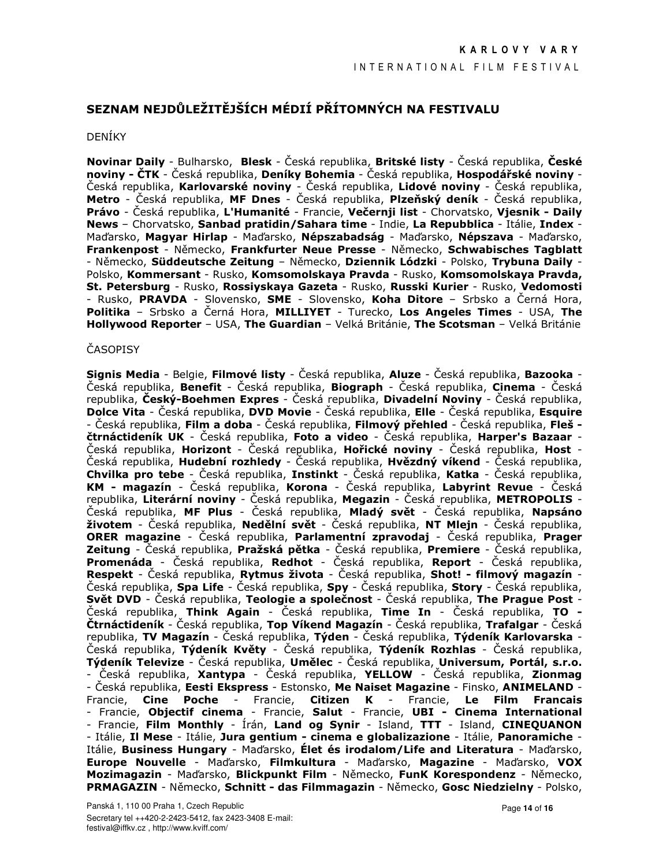# SEZNAM NEJDŮLEŽITĚJŠÍCH MÉDIÍ PŘÍTOMNÝCH NA FESTIVALU

#### **DENÍKY**

Novinar Daily - Bulharsko, Blesk - Česká republika, Britské listy - Česká republika, České noviny - ČTK - Česká republika, Deníky Bohemia - Česká republika, Hospodářské noviny -Česká republika, Karlovarské noviny - Česká republika, Lidové noviny - Česká republika, Metro - Česká republika, MF Dnes - Česká republika, Plzeňský deník - Česká republika, Právo - Česká republika, L'Humanité - Francie, Večernji list - Chorvatsko, Vjesnik - Daily News - Chorvatsko, Sanbad pratidin/Sahara time - Indie, La Repubblica - Itálie, Index -Maďarsko, Magyar Hirlap - Maďarsko, Népszabadság - Maďarsko, Népszava - Maďarsko, Frankenpost - Německo, Frankfurter Neue Presse - Německo, Schwabisches Tagblatt - Německo, Süddeutsche Zeitung - Německo, Dziennik Lódzki - Polsko, Trybuna Daily -Polsko, Kommersant - Rusko, Komsomolskava Pravda - Rusko, Komsomolskava Pravda, St. Petersburg - Rusko, Rossiyskaya Gazeta - Rusko, Russki Kurier - Rusko, Vedomosti - Rusko, **PRAVDA** - Slovensko, **SME** - Slovensko, **Koha Ditore** – Srbsko a Černá Hora, Politika - Srbsko a Černá Hora, MILLIYET - Turecko, Los Angeles Times - USA, The Hollywood Reporter - USA, The Guardian - Velká Británie, The Scotsman - Velká Británie

## **ČASOPISY**

Signis Media - Belgie, Filmové listy - Česká republika, Aluze - Česká republika, Bazooka -Česká republika, **Benefit** - Česká republika, **Biograph** - Česká republika, Cinema - Česká republika, Český-Boehmen Expres - Česká republika, Divadelní Noviny - Česká republika, **Dolce Vita** - Česká republika, **DVD Movie** - Česká republika, **Elle** - Česká republika, Esquire - Česká republika, **Film a doba** - Česká republika, **Filmový přehled** - Česká republika, **Fleš** čtrnáctideník UK - Česká republika, Foto a video - Česká republika, Harper's Bazaar -Česká republika, **Horizont** - Česká republika, **Hořické noviny** - Česká republika, **Host** -Česká republika, **Hudební rozhledy** - Česká republika, **Hvězdný víkend** - Česká republika,<br>Chvilka pro tebe - Česká republika, Instinkt - Česká republika, Katka - Česká republika, KM - magazín - Česká republika, Korona - Česká republika, Labyrint Revue - Česká republika, Literární noviny - Česká republika, Megazin - Česká republika, METROPOLIS -Česká republika, MF Plus - Česká republika, Mladý svět - Česká republika, Napsáno životem - Česká republika, Nedělní svět - Česká republika, NT Mlejn - Česká republika, **ORER magazine** - Česká republika, Parlamentní zpravodaj - Česká republika, Prager Zeitung - Česká republika, Pražská pětka - Česká republika, Premiere - Česká republika, Promenáda - Česká republika, Redhot - Česká republika, Report - Česká republika, Respekt - Česká republika, Rytmus života - Česká republika, Shot! - filmový magazín -Česká republika, Spa Life - Česká republika, Spy - Česká republika, Story - Česká republika, Svět DVD - Česká republika, Teologie a společnost - Česká republika, The Prague Post -<br>Česká republika, Think Again - Česká republika, Time In - Česká republika, TO -Čtrnáctideník - Česká republika, Top Víkend Magazín - Česká republika, Trafalgar - Česká republika, TV Magazín - Česká republika, Týden - Česká republika, Týdeník Karlovarska -Česká republika, Týdeník Květy - Česká republika, Týdeník Rozhlas - Česká republika, Týdeník Televize - Česká republika, Umělec - Česká republika, Universum, Portál, s.r.o. - Česká republika, Xantypa - Česká republika, YELLOW - Česká republika, Zionmag - Česká republika, Eesti Ekspress - Estonsko, Me Naiset Magazine - Finsko, ANIMELAND -Francie, Cine Poche - Francie, Citizen K - Francie, Le Film Francais<br>- Francie, Objectif cinema - Francie, Salut - Francie, UBI - Cinema International - Francie, Film Monthly - Írán, Land og Synir - Island, TTT - Island, CINEQUANON - Itálie, Il Mese - Itálie, Jura gentium - cinema e globalizazione - Itálie, Panoramiche -Itálie, Business Hungary - Maďarsko, Élet és irodalom/Life and Literatura - Maďarsko, Europe Nouvelle - Maďarsko, Filmkultura - Maďarsko, Magazine - Maďarsko, VOX Mozimagazin - Maďarsko, Blickpunkt Film - Německo, FunK Korespondenz - Německo, PRMAGAZIN - Německo, Schnitt - das Filmmagazin - Německo, Gosc Niedzielny - Polsko,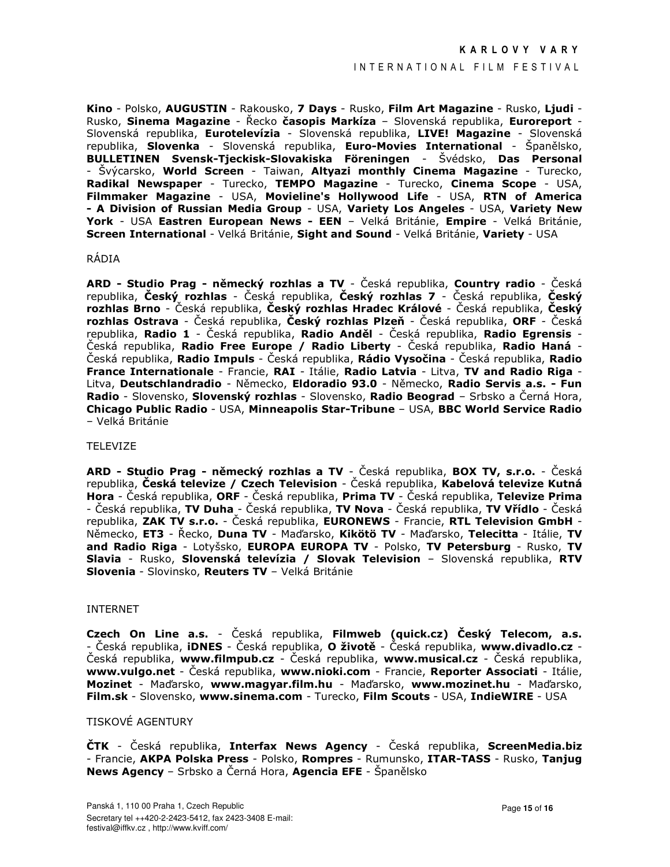#### INTERNATIONAL FILM FESTIVAL

Kino - Polsko, AUGUSTIN - Rakousko, 7 Days - Rusko, Film Art Magazine - Rusko, Ljudi -Rusko, Sinema Magazine - Řecko časopis Markíza – Slovenská republika, Euroreport -Slovenská republika, Eurotelevízia - Slovenská republika, LIVE! Magazine - Slovenská republika, Slovenka - Slovenská republika, Euro-Movies International - Španělsko, BULLETINEN Svensk-Tieckisk-Slovakiska Föreningen - Švédsko, Das Personal - Švýcarsko, World Screen - Taiwan, Altyazi monthly Cinema Magazine - Turecko, Radikal Newspaper - Turecko, TEMPO Magazine - Turecko, Cinema Scope - USA, Filmmaker Magazine - USA, Movieline's Hollywood Life - USA, RTN of America - A Division of Russian Media Group - USA, Variety Los Angeles - USA, Variety New York - USA Eastren European News - EEN - Velká Británie, Empire - Velká Británie, Screen International - Velká Británie, Sight and Sound - Velká Británie, Variety - USA

#### RÁDIA

ARD - Studio Prag - německý rozhlas a TV - Česká republika, Country radio - Česká republika, Český rozhlas - Česká republika, Český rozhlas 7 - Česká republika, Český rozhlas Brno - Česká republika, Český rozhlas Hradec Králové - Česká republika, Český rozhlas Ostrava - Česká republika, Český rozhlas Plzeň - Česká republika, ORF - Česká republika, Radio 1 - Česká republika, Radio Anděl - Česká republika, Radio Egrensis Česká republika, **Radio Free Europe / Radio Liberty** - Česká republika, **Radio Haná** -Česká republika, **Radio Impuls** - Česká republika, **Rádio Vysočina** - Česká republika, **Radio** France Internationale - Francie, RAI - Itálie, Radio Latvia - Litva, TV and Radio Riga -Litva, Deutschlandradio - Německo, Eldoradio 93.0 - Německo, Radio Servis a.s. - Fun Radio - Slovensko, Slovenský rozhlas - Slovensko, Radio Beograd – Srbsko a Černá Hora, Chicago Public Radio - USA, Minneapolis Star-Tribune - USA, BBC World Service Radio - Velká Británie

### TFI FVIZE

ARD - Studio Prag - německý rozhlas a TV - Česká republika, BOX TV, s.r.o. - Česká republika, Česká televize / Czech Television - Česká republika, Kabelová televize Kutná Hora - Česká republika, ORF - Česká republika, Prima TV - Česká republika, Televize Prima - Česká republika, TV Duha - Česká republika, TV Nova - Česká republika, TV Vřídlo - Česká republika, ZAK TV s.r.o. - Česká republika, EURONEWS - Francie, RTL Television GmbH -Německo, ET3 - Řecko, Duna TV - Maďarsko, Kikötö TV - Maďarsko, Telecitta - Itálie, TV and Radio Riga - Lotyšsko, EUROPA EUROPA TV - Polsko, TV Petersburg - Rusko, TV Slavia - Rusko, Slovenská televízia / Slovak Television - Slovenská republika, RTV Slovenia - Slovinsko, Reuters TV - Velká Británie

#### **INTERNET**

Czech On Line a.s. - Česká republika, Filmweb (quick.cz) Český Telecom, a.s. - Česká republika, **IDNES** - Česká republika, **O životě** - Česká republika, www.divadlo.cz -Česká republika, www.filmpub.cz - Česká republika, www.musical.cz - Česká republika, www.vulgo.net - Česká republika, www.nioki.com - Francie, Reporter Associati - Itálie, Mozinet - Maďarsko, www.magyar.film.hu - Maďarsko, www.mozinet.hu - Maďarsko, Film.sk - Slovensko, www.sinema.com - Turecko, Film Scouts - USA, IndieWIRE - USA

## TISKOVÉ AGENTURY

ČTK - Česká republika, Interfax News Agency - Česká republika, ScreenMedia.biz - Francie, AKPA Polska Press - Polsko, Rompres - Rumunsko, ITAR-TASS - Rusko, Tanjug News Agency – Srbsko a Černá Hora, Agencia EFE - Španělsko